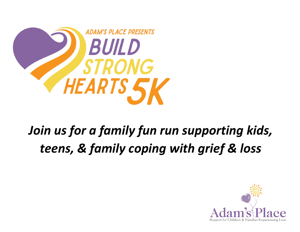

# *Join us for a family fun run supporting kids, teens, & family coping with grief & loss*

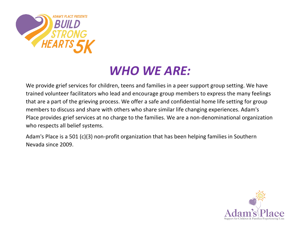

### *WHO WE ARE:*

We provide grief services for children, teens and families in a peer support group setting. We have trained volunteer facilitators who lead and encourage group members to express the many feelings that are a part of the grieving process. We offer a safe and confidential home life setting for group members to discuss and share with others who share similar life changing experiences. Adam's Place provides grief services at no charge to the families. We are a non-denominational organization who respects all belief systems.

Adam's Place is a 501 (c)(3) non-profit organization that has been helping families in Southern Nevada since 2009.

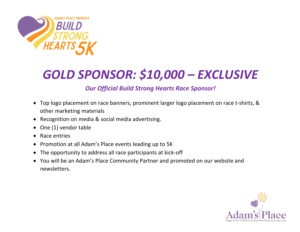

## *GOLD SPONSOR: \$10,000 – EXCLUSIVE*

#### *Our Official Build Strong Hearts Race Sponsor!*

- Top logo placement on race banners, prominent larger logo placement on race t-shirts, & other marketing materials
- Recognition on media & social media advertising.
- One (1) vendor table
- Race entries
- Promotion at all Adam's Place events leading up to 5K
- The opportunity to address all race participants at kick-off
- You will be an Adam's Place Community Partner and promoted on our website and newsletters.

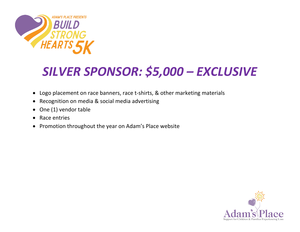

## *SILVER SPONSOR: \$5,000 – EXCLUSIVE*

- Logo placement on race banners, race t-shirts, & other marketing materials
- Recognition on media & social media advertising
- One (1) vendor table
- Race entries
- Promotion throughout the year on Adam's Place website

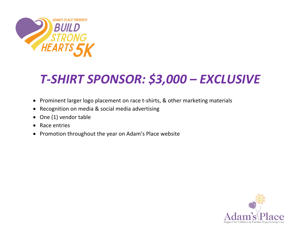

## *T-SHIRT SPONSOR: \$3,000 – EXCLUSIVE*

- Prominent larger logo placement on race t-shirts, & other marketing materials
- Recognition on media & social media advertising
- One (1) vendor table
- Race entries
- Promotion throughout the year on Adam's Place website

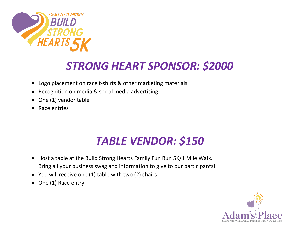

#### *STRONG HEART SPONSOR: \$2000*

- Logo placement on race t-shirts & other marketing materials
- Recognition on media & social media advertising
- One (1) vendor table
- Race entries

### *TABLE VENDOR: \$150*

- Host a table at the Build Strong Hearts Family Fun Run 5K/1 Mile Walk. Bring all your business swag and information to give to our participants!
- You will receive one (1) table with two (2) chairs
- One (1) Race entry

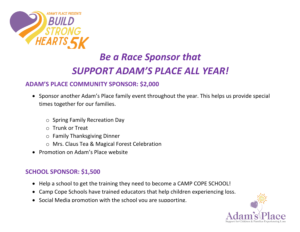

### *Be a Race Sponsor that SUPPORT ADAM'S PLACE ALL YEAR!*

#### **ADAM'S PLACE COMMUNITY SPONSOR: \$2,000**

- Sponsor another Adam's Place family event throughout the year. This helps us provide special times together for our families.
	- o Spring Family Recreation Day
	- o Trunk or Treat
	- o Family Thanksgiving Dinner
	- o Mrs. Claus Tea & Magical Forest Celebration
- Promotion on Adam's Place website

#### **SCHOOL SPONSOR: \$1,500**

- Help a school to get the training they need to become a CAMP COPE SCHOOL!
- Camp Cope Schools have trained educators that help children experiencing loss.
- Social Media promotion with the school you are supporting.